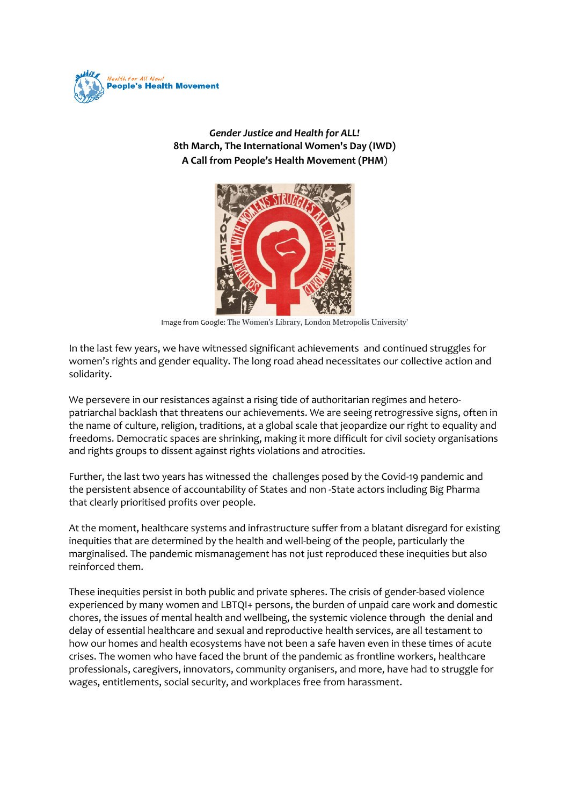

*Gender Justice and Health for ALL!* **8th March, The International Women's Day (IWD) A Call from People's Health Movement (PHM**)



Image from Google: The Women's Library, London Metropolis University'

In the last few years, we have witnessed significant achievements and continued struggles for women's rights and gender equality. The long road ahead necessitates our collective action and solidarity.

We persevere in our resistances against a rising tide of authoritarian regimes and heteropatriarchal backlash that threatens our achievements. We are seeing retrogressive signs, often in the name of culture, religion, traditions, at a global scale that jeopardize our right to equality and freedoms. Democratic spaces are shrinking, making it more difficult for civil society organisations and rights groups to dissent against rights violations and atrocities.

Further, the last two years has witnessed the challenges posed by the Covid-19 pandemic and the persistent absence of accountability of States and non -State actors including Big Pharma that clearly prioritised profits over people.

At the moment, healthcare systems and infrastructure suffer from a blatant disregard for existing inequities that are determined by the health and well-being of the people, particularly the marginalised. The pandemic mismanagement has not just reproduced these inequities but also reinforced them.

These inequities persist in both public and private spheres. The crisis of gender-based violence experienced by many women and LBTQI+ persons, the burden of unpaid care work and domestic chores, the issues of mental health and wellbeing, the systemic violence through the denial and delay of essential healthcare and sexual and reproductive health services, are all testament to how our homes and health ecosystems have not been a safe haven even in these times of acute crises. The women who have faced the brunt of the pandemic as frontline workers, healthcare professionals, caregivers, innovators, community organisers, and more, have had to struggle for wages, entitlements, social security, and workplaces free from harassment.